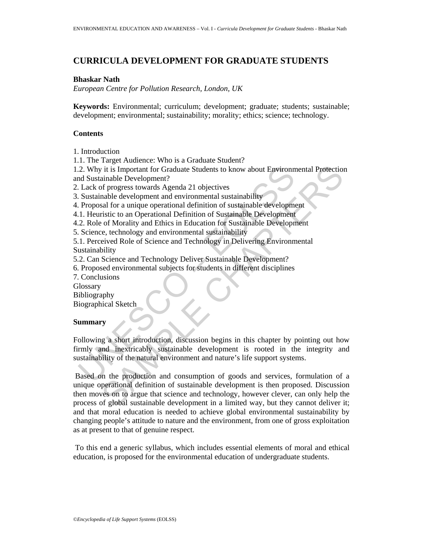# **CURRICULA DEVELOPMENT FOR GRADUATE STUDENTS**

## **Bhaskar Nath**

*European Centre for Pollution Research, London, UK* 

**Keywords:** Environmental; curriculum; development; graduate; students; sustainable; development; environmental; sustainability; morality; ethics; science; technology.

### **Contents**

1. Introduction

1.1. The Target Audience: Who is a Graduate Student?

1.2. Why it is Important for Graduate Students to know about Environmental Protection and Sustainable Development?

2. Lack of progress towards Agenda 21 objectives

3. Sustainable development and environmental sustainability

4. Proposal for a unique operational definition of sustainable development

4.1. Heuristic to an Operational Definition of Sustainable Development

4.2. Role of Morality and Ethics in Education for Sustainable Development

5. Science, technology and environmental sustainability

5.1. Perceived Role of Science and Technology in Delivering Environmental Sustainability

5.2. Can Science and Technology Deliver Sustainable Development?

6. Proposed environmental subjects for students in different disciplines

7. Conclusions

**Glossary** 

Bibliography

Biographical Sketch

#### **Summary**

2. Why it is Important for Graduate Students to know about Environm<br>
2. Why it is Important for Graduate Students to know about Environm<br>
1. Lack of progress towards Agenda 21 objectives<br>
3. Sustainable development and env Following a short introduction, discussion begins in this chapter by pointing out how firmly and inextricably sustainable development is rooted in the integrity and sustainability of the natural environment and nature's life support systems.

it is Important for Graduate Students to know about Environmental Protection<br>
ainable Development?<br>
In frogress towards Agenda 21 objectives<br>
anable development and environmental sustainability<br>
and for a unique operationa Based on the production and consumption of goods and services, formulation of a unique operational definition of sustainable development is then proposed. Discussion then moves on to argue that science and technology, however clever, can only help the process of global sustainable development in a limited way, but they cannot deliver it; and that moral education is needed to achieve global environmental sustainability by changing people's attitude to nature and the environment, from one of gross exploitation as at present to that of genuine respect.

 To this end a generic syllabus, which includes essential elements of moral and ethical education, is proposed for the environmental education of undergraduate students.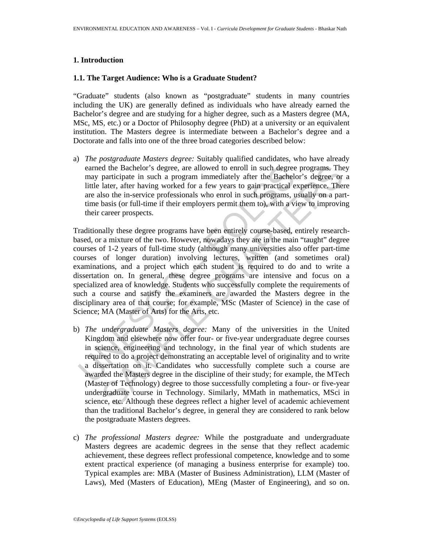### **1. Introduction**

## **1.1. The Target Audience: Who is a Graduate Student?**

"Graduate" students (also known as "postgraduate" students in many countries including the UK) are generally defined as individuals who have already earned the Bachelor's degree and are studying for a higher degree, such as a Masters degree (MA, MSc, MS, etc.) or a Doctor of Philosophy degree (PhD) at a university or an equivalent institution. The Masters degree is intermediate between a Bachelor's degree and a Doctorate and falls into one of the three broad categories described below:

a) *The postgraduate Masters degree:* Suitably qualified candidates, who have already earned the Bachelor's degree, are allowed to enroll in such degree programs. They may participate in such a program immediately after the Bachelor's degree, or a little later, after having worked for a few years to gain practical experience. There are also the in-service professionals who enrol in such programs, usually on a parttime basis (or full-time if their employers permit them to), with a view to improving their career prospects.

earned the Bachelor's degree, are allowed to enroll in such degree<br>may participate in such a program immediately after the Bachelel<br>little later, after having worked for a few years to gain practical<br>e<br>little later, after d the Bachelor's degree, are allowed to enroll in such degree programs. The participate in such a program immediately after the Bachelor's degree, or later, after having worked for a few years to gain practical experience. Traditionally these degree programs have been entirely course-based, entirely researchbased, or a mixture of the two. However, nowadays they are in the main "taught" degree courses of 1-2 years of full-time study (although many universities also offer part-time courses of longer duration) involving lectures, written (and sometimes oral) examinations, and a project which each student is required to do and to write a dissertation on. In general, these degree programs are intensive and focus on a specialized area of knowledge. Students who successfully complete the requirements of such a course and satisfy the examiners are awarded the Masters degree in the disciplinary area of that course; for example, MSc (Master of Science) in the case of Science; MA (Master of Arts) for the Arts, etc.

- b) *The undergraduate Masters degree:* Many of the universities in the United Kingdom and elsewhere now offer four- or five-year undergraduate degree courses in science, engineering and technology, in the final year of which students are required to do a project demonstrating an acceptable level of originality and to write a dissertation on it. Candidates who successfully complete such a course are awarded the Masters degree in the discipline of their study; for example, the MTech (Master of Technology) degree to those successfully completing a four- or five-year undergraduate course in Technology. Similarly, MMath in mathematics, MSci in science, etc. Although these degrees reflect a higher level of academic achievement than the traditional Bachelor's degree, in general they are considered to rank below the postgraduate Masters degrees.
- c) *The professional Masters degree:* While the postgraduate and undergraduate Masters degrees are academic degrees in the sense that they reflect academic achievement, these degrees reflect professional competence, knowledge and to some extent practical experience (of managing a business enterprise for example) too. Typical examples are: MBA (Master of Business Administration), LLM (Master of Laws), Med (Masters of Education), MEng (Master of Engineering), and so on.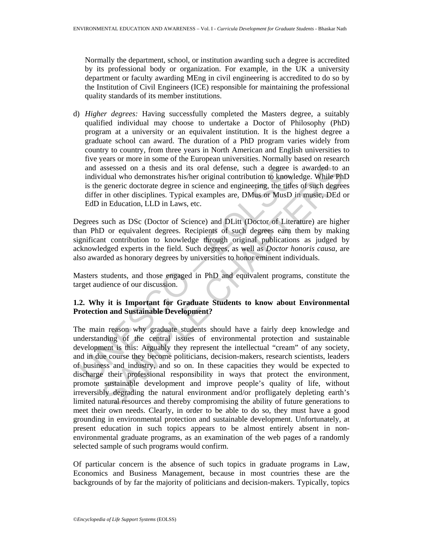Normally the department, school, or institution awarding such a degree is accredited by its professional body or organization. For example, in the UK a university department or faculty awarding MEng in civil engineering is accredited to do so by the Institution of Civil Engineers (ICE) responsible for maintaining the professional quality standards of its member institutions.

d) *Higher degrees:* Having successfully completed the Masters degree, a suitably qualified individual may choose to undertake a Doctor of Philosophy (PhD) program at a university or an equivalent institution. It is the highest degree a graduate school can award. The duration of a PhD program varies widely from country to country, from three years in North American and English universities to five years or more in some of the European universities. Normally based on research and assessed on a thesis and its oral defense, such a degree is awarded to an individual who demonstrates his/her original contribution to knowledge. While PhD is the generic doctorate degree in science and engineering, the titles of such degrees differ in other disciplines. Typical examples are, DMus or MusD in music, DEd or EdD in Education, LLD in Laws, etc.

Degrees such as DSc (Doctor of Science) and DLitt (Doctor of Literature) are higher than PhD or equivalent degrees. Recipients of such degrees earn them by making significant contribution to knowledge through original publications as judged by acknowledged experts in the field. Such degrees, as well as *Doctor honoris causa,* are also awarded as honorary degrees by universities to honor eminent individuals.

Masters students, and those engaged in PhD and equivalent programs, constitute the target audience of our discussion.

# **1.2. Why it is Important for Graduate Students to know about Environmental Protection and Sustainable Development?**

and assessed on a thesis and its oral defense, such a degree is<br>individual who demonstrates his/her original contribution to knowl<br>is the generic doctorate degree in science and engineering, the title-<br>differ in other disc assessed on a thesis and its oral defense, such a degree is awarded to a<br>
idual who demonstrates his/her original contribution to knowledge. While Phil<br>
idual who demonstrates his/her original contribution to knowledge. Wh The main reason why graduate students should have a fairly deep knowledge and understanding of the central issues of environmental protection and sustainable development is this: Arguably they represent the intellectual "cream" of any society, and in due course they become politicians, decision-makers, research scientists, leaders of business and industry, and so on. In these capacities they would be expected to discharge their professional responsibility in ways that protect the environment, promote sustainable development and improve people's quality of life, without irreversibly degrading the natural environment and/or profligately depleting earth's limited natural resources and thereby compromising the ability of future generations to meet their own needs. Clearly, in order to be able to do so, they must have a good grounding in environmental protection and sustainable development. Unfortunately, at present education in such topics appears to be almost entirely absent in nonenvironmental graduate programs, as an examination of the web pages of a randomly selected sample of such programs would confirm.

Of particular concern is the absence of such topics in graduate programs in Law, Economics and Business Management, because in most countries these are the backgrounds of by far the majority of politicians and decision-makers. Typically, topics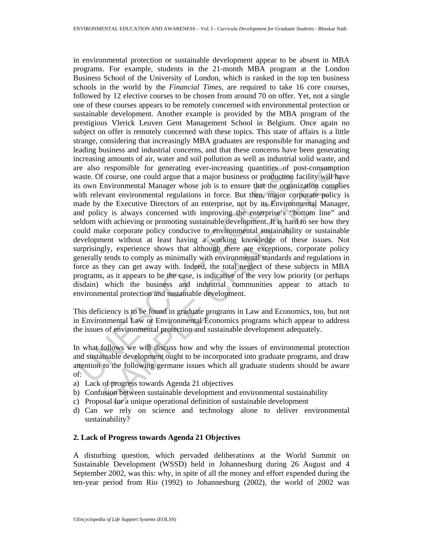re also responsible for generating ever-increasing quantities of protects. Of course, one could argue that a major business or production<br>so we Environmental Manager whose sign to ensure that the organ<br>in the levant enviro responsible for generating ever-increasing quantities of post-consumption<br>f course, one could argue that a major business or production facility will have<br>forwironmental Manager whose job is to ensure that the organization in environmental protection or sustainable development appear to be absent in MBA programs. For example, students in the 21-month MBA program at the London Business School of the University of London, which is ranked in the top ten business schools in the world by the *Financial Times,* are required to take 16 core courses, followed by 12 elective courses to be chosen from around 70 on offer. Yet, not a single one of these courses appears to be remotely concerned with environmental protection or sustainable development. Another example is provided by the MBA program of the prestigious Vlerick Leuven Gent Management School in Belgium. Once again no subject on offer is remotely concerned with these topics. This state of affairs is a little strange, considering that increasingly MBA graduates are responsible for managing and leading business and industrial concerns, and that these concerns have been generating increasing amounts of air, water and soil pollution as well as industrial solid waste, and are also responsible for generating ever-increasing quantities of post-consumption waste. Of course, one could argue that a major business or production facility will have its own Environmental Manager whose job is to ensure that the organization complies with relevant environmental regulations in force. But then, major corporate policy is made by the Executive Directors of an enterprise, not by its Environmental Manager, and policy is always concerned with improving the enterprise's "bottom line" and seldom with achieving or promoting sustainable development. It is hard to see how they could make corporate policy conducive to environmental sustainability or sustainable development without at least having a working knowledge of these issues. Not surprisingly, experience shows that although there are exceptions, corporate policy generally tends to comply as minimally with environmental standards and regulations in force as they can get away with. Indeed, the total neglect of these subjects in MBA programs, as it appears to be the case, is indicative of the very low priority (or perhaps disdain) which the business and industrial communities appear to attach to environmental protection and sustainable development.

This deficiency is to be found in graduate programs in Law and Economics, too, but not in Environmental Law or Environmental Economics programs which appear to address the issues of environmental protection and sustainable development adequately.

In what follows we will discuss how and why the issues of environmental protection and sustainable development ought to be incorporated into graduate programs, and draw attention to the following germane issues which all graduate students should be aware of:

- a) Lack of progress towards Agenda 21 objectives
- b) Confusion between sustainable development and environmental sustainability
- c) Proposal for a unique operational definition of sustainable development
- d) Can we rely on science and technology alone to deliver environmental sustainability?

## **2. Lack of Progress towards Agenda 21 Objectives**

A disturbing question, which pervaded deliberations at the World Summit on Sustainable Development (WSSD) held in Johannesburg during 26 August and 4 September 2002, was this: why, in spite of all the money and effort expended during the ten-year period from Rio (1992) to Johannesburg (2002), the world of 2002 was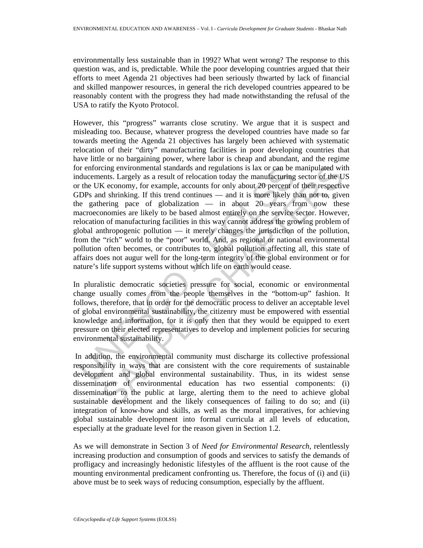environmentally less sustainable than in 1992? What went wrong? The response to this question was, and is, predictable. While the poor developing countries argued that their efforts to meet Agenda 21 objectives had been seriously thwarted by lack of financial and skilled manpower resources, in general the rich developed countries appeared to be reasonably content with the progress they had made notwithstanding the refusal of the USA to ratify the Kyoto Protocol.

or proforcing environmental standards and regulations is lax or can be lucucements. Largely as a result of relocation today the manufacturing the UK economy, for example, accounts for only about 20 percent of the UK econom cing environmental standards and regulations is lax or can be manipulated withs. Largely as a result of relocation today the manufacturing sector of the UC sconomy, for example, accounts for only about 20 percent of their However, this "progress" warrants close scrutiny. We argue that it is suspect and misleading too. Because, whatever progress the developed countries have made so far towards meeting the Agenda 21 objectives has largely been achieved with systematic relocation of their "dirty" manufacturing facilities in poor developing countries that have little or no bargaining power, where labor is cheap and abundant, and the regime for enforcing environmental standards and regulations is lax or can be manipulated with inducements. Largely as a result of relocation today the manufacturing sector of the US or the UK economy, for example, accounts for only about 20 percent of their respective GDPs and shrinking. If this trend continues — and it is more likely than not to, given the gathering pace of globalization — in about 20 years from now these macroeconomies are likely to be based almost entirely on the service sector. However, relocation of manufacturing facilities in this way cannot address the growing problem of global anthropogenic pollution — it merely changes the jurisdiction of the pollution, from the "rich" world to the "poor" world. And, as regional or national environmental pollution often becomes, or contributes to, global pollution affecting all, this state of affairs does not augur well for the long-term integrity of the global environment or for nature's life support systems without which life on earth would cease.

In pluralistic democratic societies pressure for social, economic or environmental change usually comes from the people themselves in the "bottom-up" fashion. It follows, therefore, that in order for the democratic process to deliver an acceptable level of global environmental sustainability, the citizenry must be empowered with essential knowledge and information, for it is only then that they would be equipped to exert pressure on their elected representatives to develop and implement policies for securing environmental sustainability.

 In addition, the environmental community must discharge its collective professional responsibility in ways that are consistent with the core requirements of sustainable development and global environmental sustainability. Thus, in its widest sense dissemination of environmental education has two essential components: (i) dissemination to the public at large, alerting them to the need to achieve global sustainable development and the likely consequences of failing to do so; and (ii) integration of know-how and skills, as well as the moral imperatives, for achieving global sustainable development into formal curricula at all levels of education, especially at the graduate level for the reason given in Section 1.2.

As we will demonstrate in Section 3 of *Need for Environmental Research*, relentlessly increasing production and consumption of goods and services to satisfy the demands of profligacy and increasingly hedonistic lifestyles of the affluent is the root cause of the mounting environmental predicament confronting us. Therefore, the focus of (i) and (ii) above must be to seek ways of reducing consumption, especially by the affluent.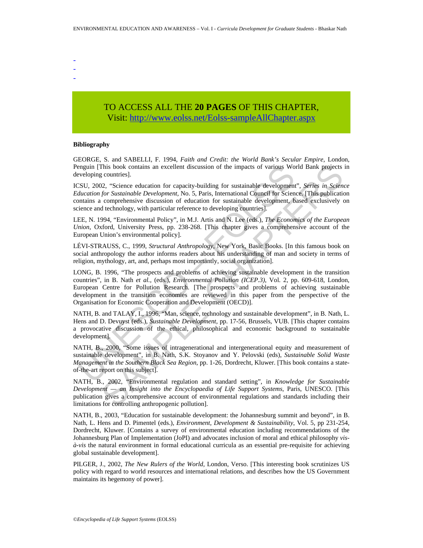- - -

# TO ACCESS ALL THE **20 PAGES** OF THIS CHAPTER, Visit: [http://www.eolss.net/Eolss-sampleAllChapter.aspx](https://www.eolss.net/ebooklib/sc_cart.aspx?File=E4-16-03-01)

#### **Bibliography**

GEORGE, S. and SABELLI, F. 1994, *Faith and Credit: the World Bank's Secular Empire*, London, Penguin [This book contains an excellent discussion of the impacts of various World Bank projects in developing countries].

ICSU, 2002, "Science education for capacity-building for sustainable development", *Series in Science Education for Sustainable Development,* No. 5, Paris, International Council for Science. [This publication contains a comprehensive discussion of education for sustainable development, based exclusively on science and technology, with particular reference to developing countries].

LEE, N. 1994, "Environmental Policy", in M.J. Artis and N. Lee (eds.), *The Economics of the European Union*, Oxford, University Press, pp. 238-268. [This chapter gives a comprehensive account of the European Union's environmental policy].

LÉVI-STRAUSS, C., 1999, *Structural Anthropology*, New York, Basic Books. [In this famous book on social anthropology the author informs readers about his understanding of man and society in terms of religion, mythology, art, and, perhaps most importantly, social organization].

enguin [This book contains an excellent discussion of the impacts of various Wo<br>
veloping countris).<br>
S.SU, 2002, "Science education for capacity-building for sustainable development<br>
dilucation for Sustainable Development This book contains an excellent discussion of the impacts of various World Bank projects<br>
countris).<br>
Contrins:<br>
Controlling for sustainable development, "Series in Science<br>
2. "Science education for capacity-building for LONG, B. 1996, "The prospects and problems of achieving sustainable development in the transition countries", in B. Nath *et al.,* (eds.), *Environmental Pollution (ICEP.3)*, Vol. 2, pp. 609-618, London, European Centre for Pollution Research. [The prospects and problems of achieving sustainable development in the transition economies are reviewed in this paper from the perspective of the Organisation for Economic Cooperation and Development (OECD)].

NATH, B. and TALAY, I., 1996, "Man, science, technology and sustainable development", in B. Nath, L. Hens and D. Devuyst (eds.), *Sustainable Development*, pp. 17-56, Brussels, VUB. [This chapter contains a provocative discussion of the ethical, philosophical and economic background to sustainable development].

NATH, B., 2000, "Some issues of intragenerational and intergenerational equity and measurement of sustainable development", in B. Nath, S.K. Stoyanov and Y. Pelovski (eds), *Sustainable Solid Waste Management in the Southern Black Sea Region*, pp. 1-26, Dordrecht, Kluwer. [This book contains a stateof-the-art report on this subject].

NATH, B., 2002, "Environmental regulation and standard setting", in *Knowledge for Sustainable Development — an Insight into the Encyclopaedia of Life Support Systems,* Paris, UNESCO. [This publication gives a comprehensive account of environmental regulations and standards including their limitations for controlling anthropogenic pollution].

NATH, B., 2003, "Education for sustainable development: the Johannesburg summit and beyond", in B. Nath, L. Hens and D. Pimentel (eds.), *Environment, Development & Sustainability*, Vol. 5, pp 231-254, Dordrecht, Kluwer. [Contains a survey of environmental education including recommendations of the Johannesburg Plan of Implementation (JoPI) and advocates inclusion of moral and ethical philosophy *visà-vis* the natural environment in formal educational curricula as an essential pre-requisite for achieving global sustainable development].

PILGER, J., 2002, *The New Rulers of the World,* London, Verso. [This interesting book scrutinizes US policy with regard to world resources and international relations, and describes how the US Government maintains its hegemony of power].